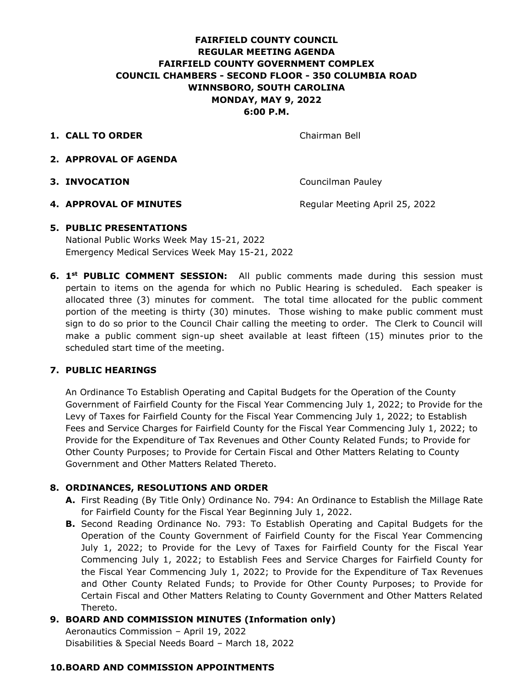## **FAIRFIELD COUNTY COUNCIL REGULAR MEETING AGENDA FAIRFIELD COUNTY GOVERNMENT COMPLEX COUNCIL CHAMBERS - SECOND FLOOR - 350 COLUMBIA ROAD WINNSBORO, SOUTH CAROLINA MONDAY, MAY 9, 2022 6:00 P.M.**

**1. CALL TO ORDER** Chairman Bell

- **2. APPROVAL OF AGENDA**
- **3. INVOCATION** Councilman Pauley

**4. APPROVAL OF MINUTES** Regular Meeting April 25, 2022

### **5. PUBLIC PRESENTATIONS**

National Public Works Week May 15-21, 2022 Emergency Medical Services Week May 15-21, 2022

**6. 1st PUBLIC COMMENT SESSION:** All public comments made during this session must pertain to items on the agenda for which no Public Hearing is scheduled. Each speaker is allocated three (3) minutes for comment. The total time allocated for the public comment portion of the meeting is thirty (30) minutes. Those wishing to make public comment must sign to do so prior to the Council Chair calling the meeting to order. The Clerk to Council will make a public comment sign-up sheet available at least fifteen (15) minutes prior to the scheduled start time of the meeting.

### **7. PUBLIC HEARINGS**

An Ordinance To Establish Operating and Capital Budgets for the Operation of the County Government of Fairfield County for the Fiscal Year Commencing July 1, 2022; to Provide for the Levy of Taxes for Fairfield County for the Fiscal Year Commencing July 1, 2022; to Establish Fees and Service Charges for Fairfield County for the Fiscal Year Commencing July 1, 2022; to Provide for the Expenditure of Tax Revenues and Other County Related Funds; to Provide for Other County Purposes; to Provide for Certain Fiscal and Other Matters Relating to County Government and Other Matters Related Thereto.

### **8. ORDINANCES, RESOLUTIONS AND ORDER**

- **A.** First Reading (By Title Only) Ordinance No. 794: An Ordinance to Establish the Millage Rate for Fairfield County for the Fiscal Year Beginning July 1, 2022.
- **B.** Second Reading Ordinance No. 793: To Establish Operating and Capital Budgets for the Operation of the County Government of Fairfield County for the Fiscal Year Commencing July 1, 2022; to Provide for the Levy of Taxes for Fairfield County for the Fiscal Year Commencing July 1, 2022; to Establish Fees and Service Charges for Fairfield County for the Fiscal Year Commencing July 1, 2022; to Provide for the Expenditure of Tax Revenues and Other County Related Funds; to Provide for Other County Purposes; to Provide for Certain Fiscal and Other Matters Relating to County Government and Other Matters Related Thereto.

## **9. BOARD AND COMMISSION MINUTES (Information only)**

Aeronautics Commission – April 19, 2022 Disabilities & Special Needs Board – March 18, 2022

### **10.BOARD AND COMMISSION APPOINTMENTS**